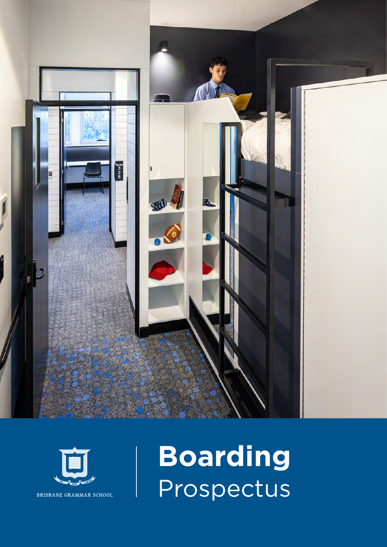



**Boarding** Prospectus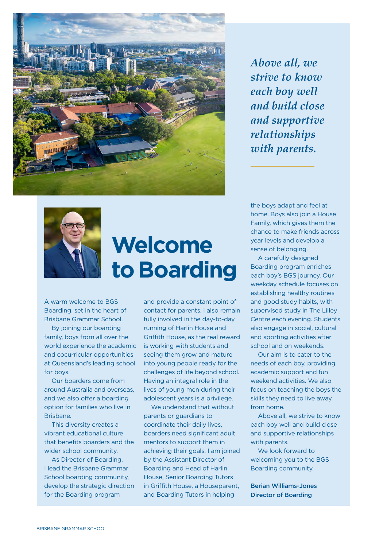

*Above all, we strive to know each boy well and build close and supportive relationships with parents.*



## **Welcome to Boarding**

A warm welcome to BGS Boarding, set in the heart of Brisbane Grammar School.

By joining our boarding family, boys from all over the world experience the academic and cocurricular opportunities at Queensland's leading school for boys.

Our boarders come from around Australia and overseas, and we also offer a boarding option for families who live in Brisbane.

This diversity creates a vibrant educational culture that benefits boarders and the wider school community.

As Director of Boarding, I lead the Brisbane Grammar School boarding community, develop the strategic direction for the Boarding program

and provide a constant point of contact for parents. I also remain fully involved in the day-to-day running of Harlin House and Griffith House, as the real reward is working with students and seeing them grow and mature into young people ready for the challenges of life beyond school. Having an integral role in the lives of young men during their adolescent years is a privilege.

We understand that without parents or guardians to coordinate their daily lives, boarders need significant adult mentors to support them in achieving their goals. I am joined by the Assistant Director of Boarding and Head of Harlin House, Senior Boarding Tutors in Griffith House, a Houseparent, and Boarding Tutors in helping

the boys adapt and feel at home. Boys also join a House Family, which gives them the chance to make friends across year levels and develop a sense of belonging.

A carefully designed Boarding program enriches each boy's BGS journey. Our weekday schedule focuses on establishing healthy routines and good study habits, with supervised study in The Lilley Centre each evening. Students also engage in social, cultural and sporting activities after school and on weekends.

Our aim is to cater to the needs of each boy, providing academic support and fun weekend activities. We also focus on teaching the boys the skills they need to live away from home.

Above all, we strive to know each boy well and build close and supportive relationships with parents.

We look forward to welcoming you to the BGS Boarding community.

Berian Williams-Jones Director of Boarding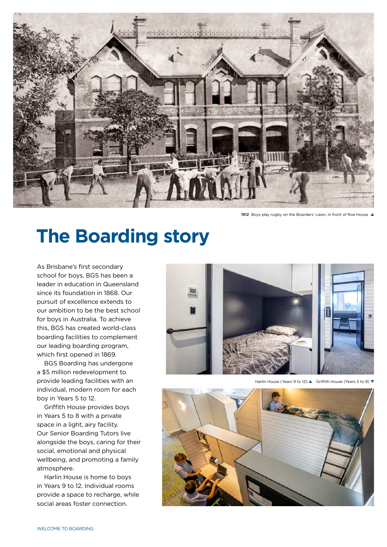

1912 Boys play rugby on the Boarders' Lawn, in front of Roe House A

## **The Boarding story**

As Brisbane's first secondary school for boys, BGS has been a leader in education in Queensland since its foundation in 1868. Our pursuit of excellence extends to our ambition to be the best school for boys in Australia. To achieve this, BGS has created world-class boarding facilities to complement our leading boarding program, which first opened in 1869.

BGS Boarding has undergone a \$5 million redevelopment to provide leading facilities with an individual, modern room for each boy in Years 5 to 12.

Griffith House provides boys in Years 5 to 8 with a private space in a light, airy facility. Our Senior Boarding Tutors live alongside the boys, caring for their social, emotional and physical wellbeing, and promoting a family atmosphere.

Harlin House is home to boys in Years 9 to 12. Individual rooms provide a space to recharge, while social areas foster connection.



Harlin House (Years 9 to 12) **A** Griffith House (Years 5 to 8) **V** 

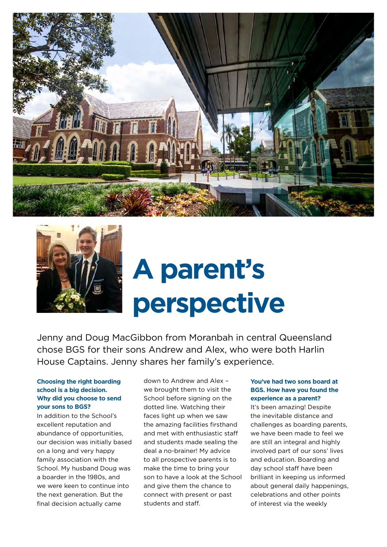



# **A parent's perspective**

Jenny and Doug MacGibbon from Moranbah in central Queensland chose BGS for their sons Andrew and Alex, who were both Harlin House Captains. Jenny shares her family's experience.

#### **Choosing the right boarding school is a big decision. Why did you choose to send your sons to BGS?**

In addition to the School's excellent reputation and abundance of opportunities, our decision was initially based on a long and very happy family association with the School. My husband Doug was a boarder in the 1980s, and we were keen to continue into the next generation. But the final decision actually came

down to Andrew and Alex – we brought them to visit the School before signing on the dotted line. Watching their faces light up when we saw the amazing facilities firsthand and met with enthusiastic staff and students made sealing the deal a no-brainer! My advice to all prospective parents is to make the time to bring your son to have a look at the School and give them the chance to connect with present or past students and staff.

#### **You've had two sons board at BGS. How have you found the experience as a parent?**

It's been amazing! Despite the inevitable distance and challenges as boarding parents, we have been made to feel we are still an integral and highly involved part of our sons' lives and education. Boarding and day school staff have been brilliant in keeping us informed about general daily happenings, celebrations and other points of interest via the weekly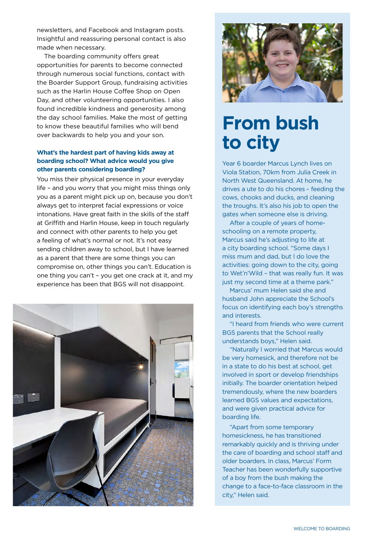newsletters, and Facebook and Instagram posts. Insightful and reassuring personal contact is also made when necessary.

The boarding community offers great opportunities for parents to become connected through numerous social functions, contact with the Boarder Support Group, fundraising activities such as the Harlin House Coffee Shop on Open Day, and other volunteering opportunities. I also found incredible kindness and generosity among the day school families. Make the most of getting to know these beautiful families who will bend over backwards to help you and your son.

#### **What's the hardest part of having kids away at boarding school? What advice would you give other parents considering boarding?**

You miss their physical presence in your everyday life – and you worry that you might miss things only you as a parent might pick up on, because you don't always get to interpret facial expressions or voice intonations. Have great faith in the skills of the staff at Griffith and Harlin House, keep in touch regularly and connect with other parents to help you get a feeling of what's normal or not. It's not easy sending children away to school, but I have learned as a parent that there are some things you can compromise on, other things you can't. Education is one thing you can't – you get one crack at it, and my experience has been that BGS will not disappoint.





## **From bush to city**

Year 6 boarder Marcus Lynch lives on Viola Station, 70km from Julia Creek in North West Queensland. At home, he drives a ute to do his chores – feeding the cows, chooks and ducks, and cleaning the troughs. It's also his job to open the gates when someone else is driving.

After a couple of years of homeschooling on a remote property, Marcus said he's adjusting to life at a city boarding school. "Some days I miss mum and dad, but I do love the activities: going down to the city, going to Wet'n'Wild – that was really fun. It was just my second time at a theme park."

Marcus' mum Helen said she and husband John appreciate the School's focus on identifying each boy's strengths and interests.

"I heard from friends who were current BGS parents that the School really understands boys," Helen said.

"Naturally I worried that Marcus would be very homesick, and therefore not be in a state to do his best at school, get involved in sport or develop friendships initially. The boarder orientation helped tremendously, where the new boarders learned BGS values and expectations, and were given practical advice for boarding life.

"Apart from some temporary homesickness, he has transitioned remarkably quickly and is thriving under the care of boarding and school staff and older boarders. In class, Marcus' Form Teacher has been wonderfully supportive of a boy from the bush making the change to a face-to-face classroom in the city," Helen said.